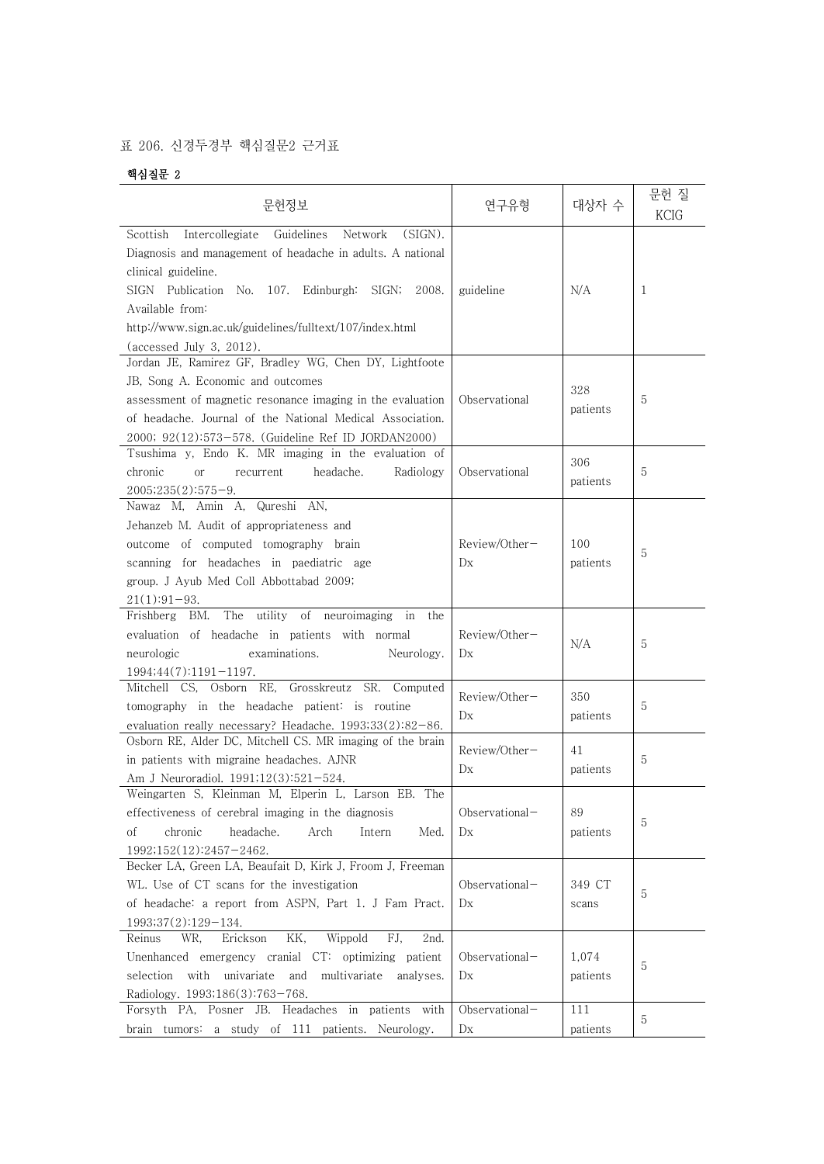## 표 206. 신경두경부 핵심질문2 근거표

## 핵심질문 2

| 문헌정보                                                                                                                                                                                                                                                                                                                   | 연구유형                             | 대상자 수             | 문헌 질<br><b>KCIG</b> |
|------------------------------------------------------------------------------------------------------------------------------------------------------------------------------------------------------------------------------------------------------------------------------------------------------------------------|----------------------------------|-------------------|---------------------|
| Intercollegiate<br>Guidelines<br>(SIGN).<br>Scottish<br>Network<br>Diagnosis and management of headache in adults. A national<br>clinical guideline.<br>SIGN Publication No. 107. Edinburgh: SIGN;<br>2008.<br>Available from:<br>http://www.sign.ac.uk/guidelines/fulltext/107/index.html<br>(accessed July 3, 2012). | guideline                        | N/A               | 1                   |
| Jordan JE, Ramirez GF, Bradley WG, Chen DY, Lightfoote<br>JB, Song A. Economic and outcomes<br>assessment of magnetic resonance imaging in the evaluation<br>of headache. Journal of the National Medical Association.<br>2000; 92(12):573-578. (Guideline Ref ID JORDAN2000)                                          | Observational                    | 328<br>patients   | 5                   |
| Tsushima y, Endo K. MR imaging in the evaluation of<br>chronic<br>headache.<br>Radiology<br><b>or</b><br>recurrent<br>$2005;235(2):575-9.$                                                                                                                                                                             | Observational                    | 306<br>patients   | 5                   |
| Nawaz M, Amin A, Qureshi AN,<br>Jehanzeb M. Audit of appropriateness and<br>outcome of computed tomography brain<br>scanning for headaches in paediatric age<br>group. J Ayub Med Coll Abbottabad 2009;<br>$21(1):91-93.$                                                                                              | Review/Other-<br>D <sub>X</sub>  | 100<br>patients   | 5                   |
| The utility of neuroimaging<br>Frishberg BM.<br>in<br>the<br>evaluation of headache in patients with normal<br>examinations.<br>neurologic<br>Neurology.<br>$1994;44(7):1191-1197.$                                                                                                                                    | Review/Other-<br>D <sub>X</sub>  | N/A               | 5                   |
| Mitchell CS, Osborn RE, Grosskreutz SR. Computed<br>tomography in the headache patient: is routine<br>evaluation really necessary? Headache. $1993;33(2):82-86$ .                                                                                                                                                      | Review/Other-<br>D <sub>X</sub>  | 350<br>patients   | 5                   |
| Osborn RE, Alder DC, Mitchell CS. MR imaging of the brain<br>in patients with migraine headaches. AJNR<br>Am J Neuroradiol. 1991;12(3):521-524.                                                                                                                                                                        | Review/Other-<br>D <sub>X</sub>  | 41<br>patients    | 5                   |
| Weingarten S, Kleinman M, Elperin L, Larson EB. The<br>effectiveness of cerebral imaging in the diagnosis<br>chronic<br>οf<br>headache.<br>Arch<br>Intern<br>Med.<br>1992;152(12):2457-2462.                                                                                                                           | Observational-<br>D <sub>X</sub> | 89<br>patients    | 5                   |
| Becker LA, Green LA, Beaufait D, Kirk J, Froom J, Freeman<br>WL. Use of CT scans for the investigation<br>of headache: a report from ASPN, Part 1. J Fam Pract.<br>$1993;37(2):129-134.$                                                                                                                               | Observational-<br>D <sub>X</sub> | 349 CT<br>scans   | 5                   |
| Erickson<br>KK,<br>Wippold<br>FJ.<br>2nd.<br>Reinus<br>WR,<br>Unenhanced emergency cranial CT: optimizing patient<br>selection with univariate and multivariate analyses.<br>Radiology. 1993;186(3):763-768.                                                                                                           | Observational-<br>Dx             | 1,074<br>patients | 5                   |
| Forsyth PA, Posner JB. Headaches in patients with<br>brain tumors: a study of 111 patients. Neurology.                                                                                                                                                                                                                 | Observational-<br>D <sub>X</sub> | 111<br>patients   | 5                   |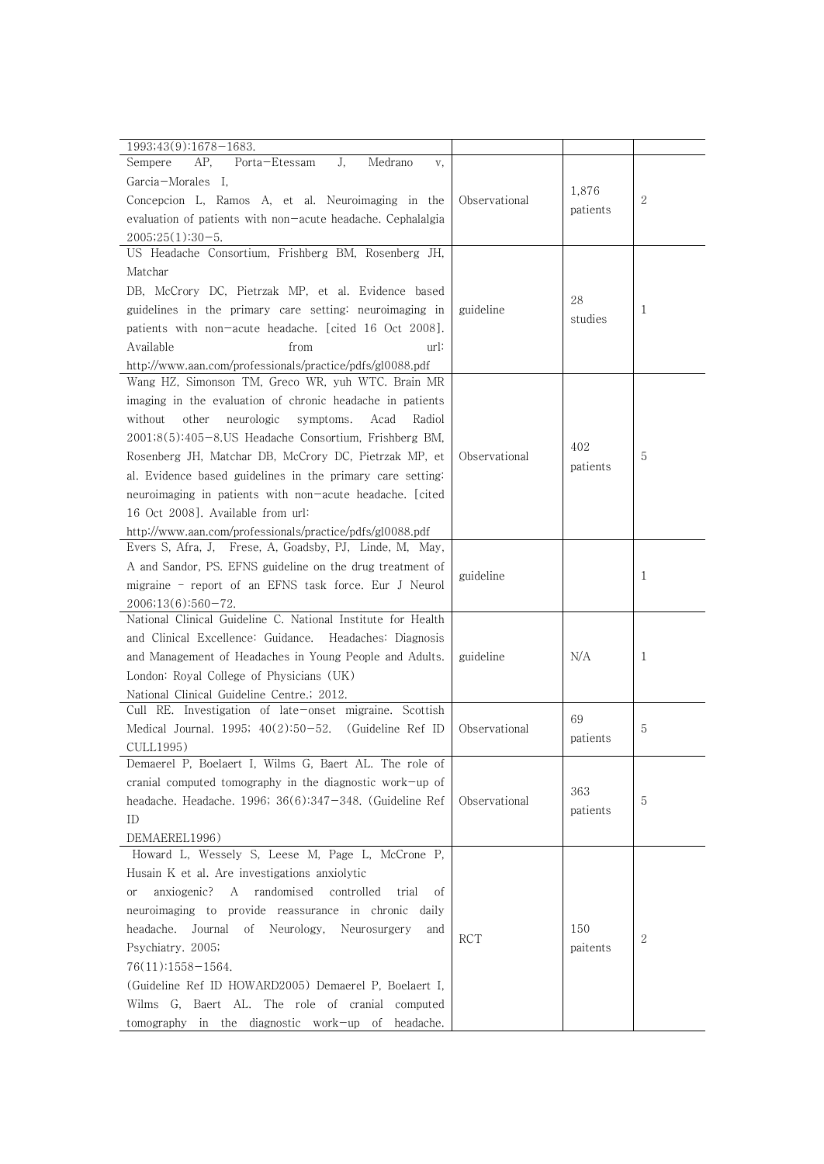| 1993;43(9):1678-1683.                                             |               |          |   |
|-------------------------------------------------------------------|---------------|----------|---|
| AP.<br>Porta-Etessam<br>J.<br>Medrano<br>Sempere<br>V,            |               |          |   |
| Garcia-Morales I.                                                 |               |          |   |
| Concepcion L, Ramos A, et al. Neuroimaging in the                 | Observational | 1,876    | 2 |
| evaluation of patients with non-acute headache. Cephalalgia       |               | patients |   |
| $2005;25(1):30-5.$                                                |               |          |   |
| US Headache Consortium, Frishberg BM, Rosenberg JH,               |               |          |   |
| Matchar                                                           |               |          |   |
| DB, McCrory DC, Pietrzak MP, et al. Evidence based                |               |          |   |
| guidelines in the primary care setting: neuroimaging in           | guideline     | 28       | 1 |
| patients with non-acute headache. [cited 16 Oct 2008].            |               | studies  |   |
| from<br>Available<br>url:                                         |               |          |   |
| http://www.aan.com/professionals/practice/pdfs/gl0088.pdf         |               |          |   |
| Wang HZ, Simonson TM, Greco WR, yuh WTC. Brain MR                 |               |          |   |
| imaging in the evaluation of chronic headache in patients         |               |          |   |
| without<br>other<br>neurologic<br>symptoms.<br>Acad<br>Radiol     |               |          |   |
| 2001;8(5):405-8.US Headache Consortium, Frishberg BM,             |               |          |   |
| Rosenberg JH, Matchar DB, McCrory DC, Pietrzak MP, et             | Observational | 402      | 5 |
| al. Evidence based guidelines in the primary care setting:        |               | patients |   |
| neuroimaging in patients with non-acute headache. [cited]         |               |          |   |
| 16 Oct 2008]. Available from url:                                 |               |          |   |
| http://www.aan.com/professionals/practice/pdfs/gl0088.pdf         |               |          |   |
| Evers S, Afra, J, Frese, A, Goadsby, PJ, Linde, M, May,           |               |          |   |
| A and Sandor, PS. EFNS guideline on the drug treatment of         |               |          |   |
| migraine - report of an EFNS task force. Eur J Neurol             | guideline     |          | 1 |
| 2006;13(6):560-72.                                                |               |          |   |
| National Clinical Guideline C. National Institute for Health      |               |          |   |
| and Clinical Excellence: Guidance. Headaches: Diagnosis           |               |          |   |
| and Management of Headaches in Young People and Adults.           | guideline     | N/A      | 1 |
| London: Royal College of Physicians (UK)                          |               |          |   |
| National Clinical Guideline Centre.; 2012.                        |               |          |   |
| Cull RE. Investigation of late-onset migraine. Scottish           |               | 69       |   |
| Medical Journal. 1995; $40(2):50-52$ .<br>(Guideline Ref ID       | Observational | patients | 5 |
| CULL1995)                                                         |               |          |   |
| Demaerel P, Boelaert I, Wilms G, Baert AL. The role of            |               |          |   |
| cranial computed tomography in the diagnostic work-up of          |               | 363      |   |
| headache. Headache. 1996; $36(6):347-348$ . (Guideline Ref        | Observational | patients | 5 |
| ID                                                                |               |          |   |
| DEMAEREL1996)                                                     |               |          |   |
| Howard L, Wessely S, Leese M, Page L, McCrone P,                  |               |          |   |
| Husain K et al. Are investigations anxiolytic                     |               |          |   |
| anxiogenic?<br>randomised<br>A<br>controlled<br>trial<br>οf<br>or |               |          |   |
| neuroimaging to provide reassurance in chronic daily              |               |          |   |
| Journal<br>Neurology,<br>headache.<br>οf<br>Neurosurgery<br>and   | <b>RCT</b>    | 150      | 2 |
| Psychiatry. 2005;                                                 |               | paitents |   |
| 76(11):1558-1564.                                                 |               |          |   |
| (Guideline Ref ID HOWARD2005) Demaerel P, Boelaert I,             |               |          |   |
| Wilms G, Baert AL. The role of cranial computed                   |               |          |   |
| tomography in the diagnostic work-up of headache.                 |               |          |   |